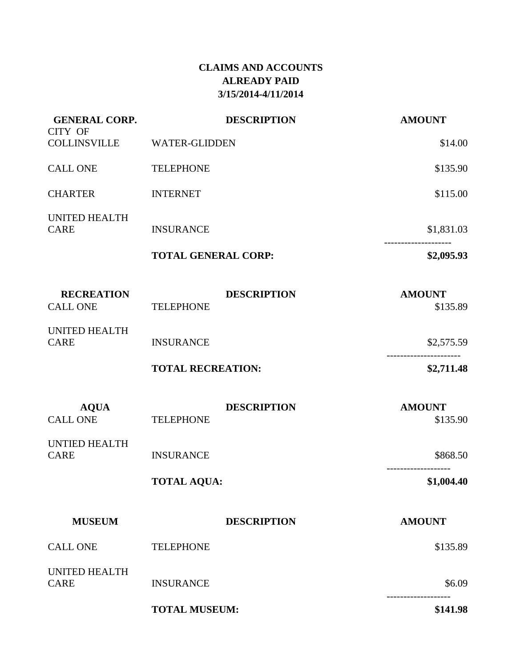## **CLAIMS AND ACCOUNTS ALREADY PAID 3/15/2014-4/11/2014**

| <b>GENERAL CORP.</b><br>CITY OF      |                            | <b>DESCRIPTION</b> | <b>AMOUNT</b>                       |
|--------------------------------------|----------------------------|--------------------|-------------------------------------|
| <b>COLLINSVILLE</b>                  | <b>WATER-GLIDDEN</b>       |                    | \$14.00                             |
| <b>CALL ONE</b>                      | <b>TELEPHONE</b>           |                    | \$135.90                            |
| <b>CHARTER</b>                       | <b>INTERNET</b>            |                    | \$115.00                            |
| <b>UNITED HEALTH</b><br><b>CARE</b>  | <b>INSURANCE</b>           |                    | \$1,831.03                          |
|                                      | <b>TOTAL GENERAL CORP:</b> |                    | -------------<br>\$2,095.93         |
| <b>RECREATION</b><br><b>CALL ONE</b> | <b>TELEPHONE</b>           | <b>DESCRIPTION</b> | <b>AMOUNT</b><br>\$135.89           |
| UNITED HEALTH<br><b>CARE</b>         | <b>INSURANCE</b>           |                    | \$2,575.59<br>--------------------- |
|                                      | <b>TOTAL RECREATION:</b>   |                    | \$2,711.48                          |
| <b>AQUA</b><br><b>CALL ONE</b>       | <b>TELEPHONE</b>           | <b>DESCRIPTION</b> | <b>AMOUNT</b><br>\$135.90           |
| <b>UNTIED HEALTH</b><br><b>CARE</b>  | <b>INSURANCE</b>           |                    | \$868.50                            |
|                                      | <b>TOTAL AQUA:</b>         |                    | \$1,004.40                          |
| <b>MUSEUM</b>                        |                            | <b>DESCRIPTION</b> | <b>AMOUNT</b>                       |
| <b>CALL ONE</b>                      | <b>TELEPHONE</b>           |                    | \$135.89                            |
| UNITED HEALTH<br><b>CARE</b>         | <b>INSURANCE</b>           |                    | \$6.09                              |
|                                      | <b>TOTAL MUSEUM:</b>       |                    | \$141.98                            |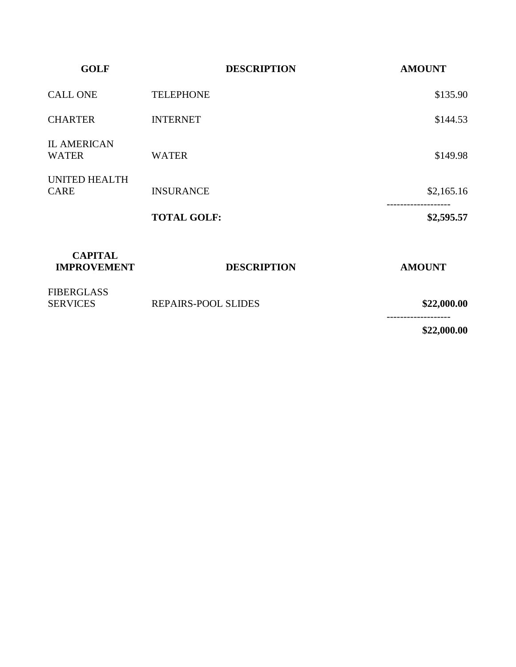| <b>GOLF</b>                          | <b>DESCRIPTION</b>         | <b>AMOUNT</b>                       |
|--------------------------------------|----------------------------|-------------------------------------|
| <b>CALL ONE</b>                      | <b>TELEPHONE</b>           | \$135.90                            |
| <b>CHARTER</b>                       | <b>INTERNET</b>            | \$144.53                            |
| <b>IL AMERICAN</b><br><b>WATER</b>   | <b>WATER</b>               | \$149.98                            |
| UNITED HEALTH<br><b>CARE</b>         | <b>INSURANCE</b>           | \$2,165.16<br>. _ _ _ _ _ _ _ _ _ _ |
|                                      | <b>TOTAL GOLF:</b>         | \$2,595.57                          |
| <b>CAPITAL</b><br><b>IMPROVEMENT</b> | <b>DESCRIPTION</b>         | <b>AMOUNT</b>                       |
| <b>FIBERGLASS</b><br><b>SERVICES</b> | <b>REPAIRS-POOL SLIDES</b> | \$22,000.00                         |

**\$22,000.00**

-------------------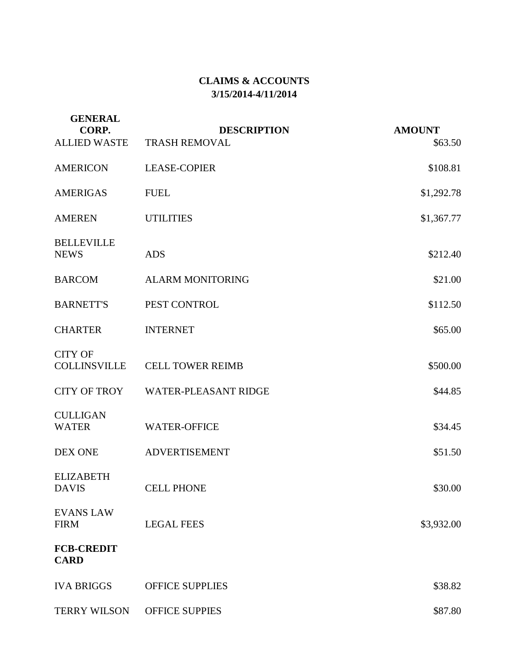## **CLAIMS & ACCOUNTS 3/15/2014-4/11/2014**

| <b>GENERAL</b><br>CORP.<br><b>ALLIED WASTE</b> | <b>DESCRIPTION</b><br><b>TRASH REMOVAL</b> | <b>AMOUNT</b><br>\$63.50 |
|------------------------------------------------|--------------------------------------------|--------------------------|
| <b>AMERICON</b>                                | <b>LEASE-COPIER</b>                        | \$108.81                 |
| <b>AMERIGAS</b>                                | <b>FUEL</b>                                | \$1,292.78               |
| <b>AMEREN</b>                                  | <b>UTILITIES</b>                           | \$1,367.77               |
| <b>BELLEVILLE</b><br><b>NEWS</b>               | <b>ADS</b>                                 | \$212.40                 |
| <b>BARCOM</b>                                  | <b>ALARM MONITORING</b>                    | \$21.00                  |
| <b>BARNETT'S</b>                               | PEST CONTROL                               | \$112.50                 |
| <b>CHARTER</b>                                 | <b>INTERNET</b>                            | \$65.00                  |
| <b>CITY OF</b><br><b>COLLINSVILLE</b>          | <b>CELL TOWER REIMB</b>                    | \$500.00                 |
| <b>CITY OF TROY</b>                            | <b>WATER-PLEASANT RIDGE</b>                | \$44.85                  |
| <b>CULLIGAN</b><br><b>WATER</b>                | <b>WATER-OFFICE</b>                        | \$34.45                  |
| <b>DEX ONE</b>                                 | <b>ADVERTISEMENT</b>                       | \$51.50                  |
| <b>ELIZABETH</b><br><b>DAVIS</b>               | <b>CELL PHONE</b>                          | \$30.00                  |
| <b>EVANS LAW</b><br><b>FIRM</b>                | <b>LEGAL FEES</b>                          | \$3,932.00               |
| <b>FCB-CREDIT</b><br><b>CARD</b>               |                                            |                          |
| <b>IVA BRIGGS</b>                              | <b>OFFICE SUPPLIES</b>                     | \$38.82                  |
| <b>TERRY WILSON</b>                            | <b>OFFICE SUPPIES</b>                      | \$87.80                  |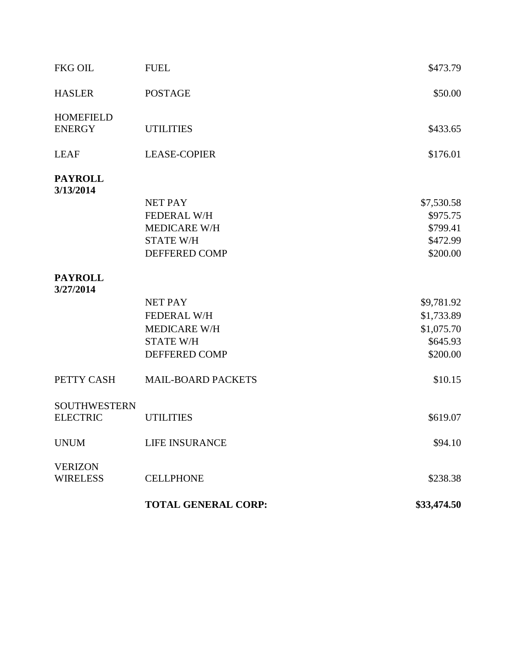| <b>FKG OIL</b>                         | <b>FUEL</b>                | \$473.79    |
|----------------------------------------|----------------------------|-------------|
| <b>HASLER</b>                          | <b>POSTAGE</b>             | \$50.00     |
| <b>HOMEFIELD</b>                       |                            |             |
| <b>ENERGY</b>                          | <b>UTILITIES</b>           | \$433.65    |
| <b>LEAF</b>                            | <b>LEASE-COPIER</b>        | \$176.01    |
| <b>PAYROLL</b><br>3/13/2014            |                            |             |
|                                        | <b>NET PAY</b>             | \$7,530.58  |
|                                        | FEDERAL W/H                | \$975.75    |
|                                        | <b>MEDICARE W/H</b>        | \$799.41    |
|                                        | <b>STATE W/H</b>           | \$472.99    |
|                                        | <b>DEFFERED COMP</b>       | \$200.00    |
| <b>PAYROLL</b><br>3/27/2014            |                            |             |
|                                        | <b>NET PAY</b>             | \$9,781.92  |
|                                        | <b>FEDERAL W/H</b>         | \$1,733.89  |
|                                        | <b>MEDICARE W/H</b>        | \$1,075.70  |
|                                        | <b>STATE W/H</b>           | \$645.93    |
|                                        | <b>DEFFERED COMP</b>       | \$200.00    |
| PETTY CASH                             | <b>MAIL-BOARD PACKETS</b>  | \$10.15     |
| <b>SOUTHWESTERN</b><br><b>ELECTRIC</b> | <b>UTILITIES</b>           | \$619.07    |
|                                        |                            |             |
| <b>UNUM</b>                            | <b>LIFE INSURANCE</b>      | \$94.10     |
| <b>VERIZON</b>                         |                            |             |
| <b>WIRELESS</b>                        | <b>CELLPHONE</b>           | \$238.38    |
|                                        | <b>TOTAL GENERAL CORP:</b> | \$33,474.50 |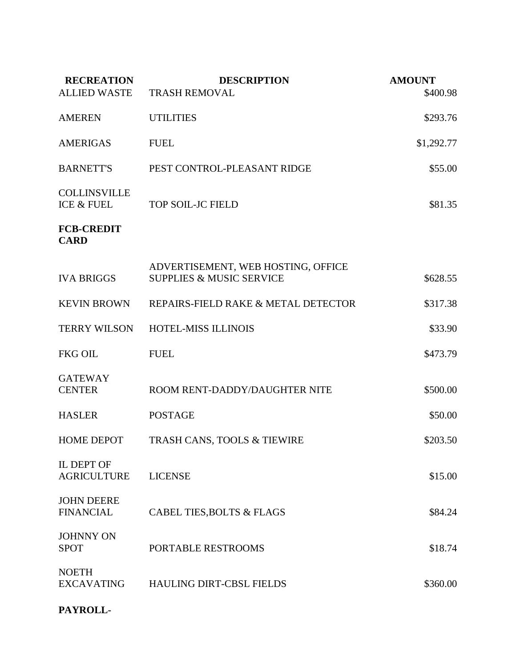| <b>RECREATION</b><br><b>ALLIED WASTE</b> | <b>DESCRIPTION</b><br><b>TRASH REMOVAL</b>                                | <b>AMOUNT</b><br>\$400.98 |
|------------------------------------------|---------------------------------------------------------------------------|---------------------------|
| <b>AMEREN</b>                            | <b>UTILITIES</b>                                                          | \$293.76                  |
| <b>AMERIGAS</b>                          | <b>FUEL</b>                                                               | \$1,292.77                |
| <b>BARNETT'S</b>                         | PEST CONTROL-PLEASANT RIDGE                                               | \$55.00                   |
| <b>COLLINSVILLE</b><br>ICE & FUEL        | <b>TOP SOIL-JC FIELD</b>                                                  | \$81.35                   |
| <b>FCB-CREDIT</b><br><b>CARD</b>         |                                                                           |                           |
| <b>IVA BRIGGS</b>                        | ADVERTISEMENT, WEB HOSTING, OFFICE<br><b>SUPPLIES &amp; MUSIC SERVICE</b> | \$628.55                  |
| <b>KEVIN BROWN</b>                       | REPAIRS-FIELD RAKE & METAL DETECTOR                                       | \$317.38                  |
| <b>TERRY WILSON</b>                      | HOTEL-MISS ILLINOIS                                                       | \$33.90                   |
| <b>FKG OIL</b>                           | <b>FUEL</b>                                                               | \$473.79                  |
| <b>GATEWAY</b><br><b>CENTER</b>          | ROOM RENT-DADDY/DAUGHTER NITE                                             | \$500.00                  |
| <b>HASLER</b>                            | <b>POSTAGE</b>                                                            | \$50.00                   |
| <b>HOME DEPOT</b>                        | TRASH CANS, TOOLS & TIEWIRE                                               | \$203.50                  |
| <b>IL DEPT OF</b><br><b>AGRICULTURE</b>  | <b>LICENSE</b>                                                            | \$15.00                   |
| <b>JOHN DEERE</b><br><b>FINANCIAL</b>    | <b>CABEL TIES, BOLTS &amp; FLAGS</b>                                      | \$84.24                   |
| <b>JOHNNY ON</b><br><b>SPOT</b>          | PORTABLE RESTROOMS                                                        | \$18.74                   |
| <b>NOETH</b><br><b>EXCAVATING</b>        | <b>HAULING DIRT-CBSL FIELDS</b>                                           | \$360.00                  |
| PAYROLL-                                 |                                                                           |                           |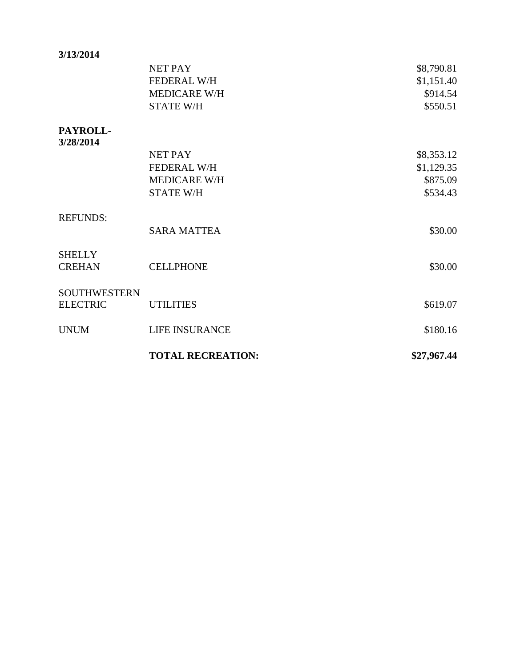## **3/13/2014**

|                                        | <b>TOTAL RECREATION:</b> | \$27,967.44 |
|----------------------------------------|--------------------------|-------------|
| <b>UNUM</b>                            | <b>LIFE INSURANCE</b>    | \$180.16    |
| <b>SOUTHWESTERN</b><br><b>ELECTRIC</b> | <b>UTILITIES</b>         | \$619.07    |
| <b>SHELLY</b><br><b>CREHAN</b>         | <b>CELLPHONE</b>         | \$30.00     |
| <b>REFUNDS:</b>                        | <b>SARA MATTEA</b>       | \$30.00     |
|                                        | <b>STATE W/H</b>         | \$534.43    |
|                                        | <b>MEDICARE W/H</b>      | \$875.09    |
|                                        | <b>FEDERAL W/H</b>       | \$1,129.35  |
|                                        | <b>NET PAY</b>           | \$8,353.12  |
| PAYROLL-<br>3/28/2014                  |                          |             |
|                                        | <b>STATE W/H</b>         | \$550.51    |
|                                        | <b>MEDICARE W/H</b>      | \$914.54    |
|                                        | FEDERAL W/H              | \$1,151.40  |
|                                        | <b>NET PAY</b>           | \$8,790.81  |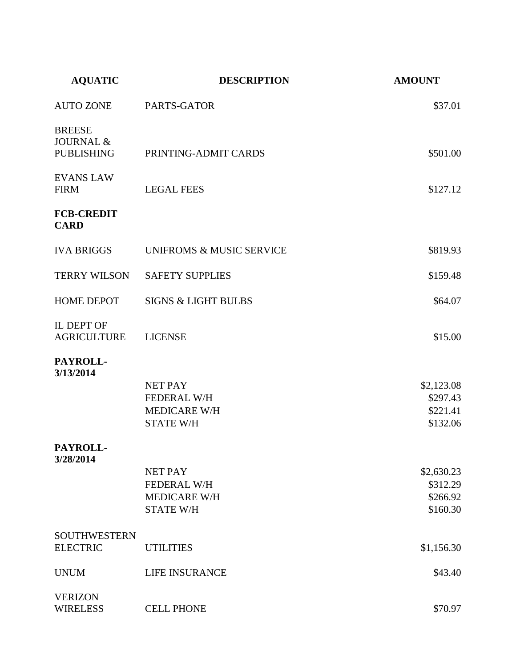| <b>AQUATIC</b>                                             | <b>DESCRIPTION</b>                                                              | <b>AMOUNT</b>                                  |
|------------------------------------------------------------|---------------------------------------------------------------------------------|------------------------------------------------|
| <b>AUTO ZONE</b>                                           | PARTS-GATOR                                                                     | \$37.01                                        |
| <b>BREESE</b><br><b>JOURNAL &amp;</b><br><b>PUBLISHING</b> | PRINTING-ADMIT CARDS                                                            | \$501.00                                       |
| <b>EVANS LAW</b><br><b>FIRM</b>                            | <b>LEGAL FEES</b>                                                               | \$127.12                                       |
| <b>FCB-CREDIT</b><br><b>CARD</b>                           |                                                                                 |                                                |
| <b>IVA BRIGGS</b>                                          | <b>UNIFROMS &amp; MUSIC SERVICE</b>                                             | \$819.93                                       |
| <b>TERRY WILSON</b>                                        | <b>SAFETY SUPPLIES</b>                                                          | \$159.48                                       |
| <b>HOME DEPOT</b>                                          | <b>SIGNS &amp; LIGHT BULBS</b>                                                  | \$64.07                                        |
| IL DEPT OF<br><b>AGRICULTURE</b>                           | <b>LICENSE</b>                                                                  | \$15.00                                        |
| PAYROLL-<br>3/13/2014                                      |                                                                                 |                                                |
|                                                            | <b>NET PAY</b><br><b>FEDERAL W/H</b><br><b>MEDICARE W/H</b><br><b>STATE W/H</b> | \$2,123.08<br>\$297.43<br>\$221.41<br>\$132.06 |
| PAYROLL-                                                   |                                                                                 |                                                |
| 3/28/2014                                                  | <b>NET PAY</b><br><b>FEDERAL W/H</b><br><b>MEDICARE W/H</b><br><b>STATE W/H</b> | \$2,630.23<br>\$312.29<br>\$266.92<br>\$160.30 |
| <b>SOUTHWESTERN</b><br><b>ELECTRIC</b>                     | <b>UTILITIES</b>                                                                | \$1,156.30                                     |
| <b>UNUM</b>                                                | <b>LIFE INSURANCE</b>                                                           | \$43.40                                        |
| <b>VERIZON</b><br><b>WIRELESS</b>                          | <b>CELL PHONE</b>                                                               | \$70.97                                        |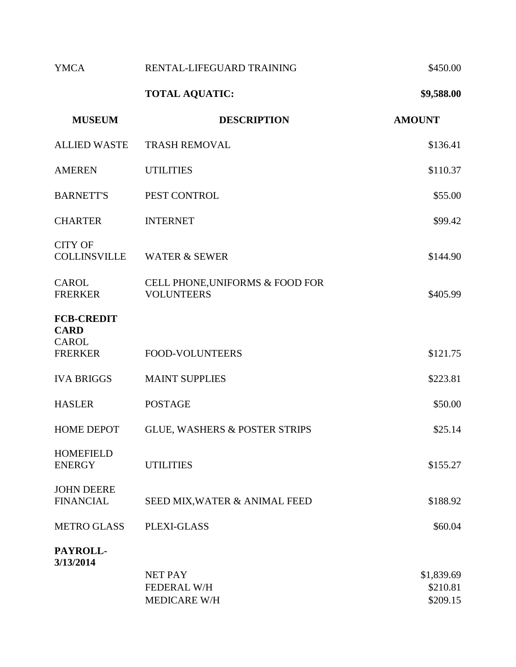| <b>YMCA</b>                                      | RENTAL-LIFEGUARD TRAINING                            | \$450.00      |
|--------------------------------------------------|------------------------------------------------------|---------------|
|                                                  | <b>TOTAL AQUATIC:</b>                                | \$9,588.00    |
| <b>MUSEUM</b>                                    | <b>DESCRIPTION</b>                                   | <b>AMOUNT</b> |
| <b>ALLIED WASTE</b>                              | <b>TRASH REMOVAL</b>                                 | \$136.41      |
| <b>AMEREN</b>                                    | <b>UTILITIES</b>                                     | \$110.37      |
| <b>BARNETT'S</b>                                 | PEST CONTROL                                         | \$55.00       |
| <b>CHARTER</b>                                   | <b>INTERNET</b>                                      | \$99.42       |
| <b>CITY OF</b><br><b>COLLINSVILLE</b>            | <b>WATER &amp; SEWER</b>                             | \$144.90      |
| <b>CAROL</b><br><b>FRERKER</b>                   | CELL PHONE, UNIFORMS & FOOD FOR<br><b>VOLUNTEERS</b> | \$405.99      |
| <b>FCB-CREDIT</b><br><b>CARD</b><br><b>CAROL</b> |                                                      |               |
| <b>FRERKER</b>                                   | <b>FOOD-VOLUNTEERS</b>                               | \$121.75      |
| <b>IVA BRIGGS</b>                                | <b>MAINT SUPPLIES</b>                                | \$223.81      |
| <b>HASLER</b>                                    | <b>POSTAGE</b>                                       | \$50.00       |
| <b>HOME DEPOT</b>                                | <b>GLUE, WASHERS &amp; POSTER STRIPS</b>             | \$25.14       |
| <b>HOMEFIELD</b><br><b>ENERGY</b>                | <b>UTILITIES</b>                                     | \$155.27      |
| <b>JOHN DEERE</b><br><b>FINANCIAL</b>            | SEED MIX, WATER & ANIMAL FEED                        | \$188.92      |
| <b>METRO GLASS</b>                               | PLEXI-GLASS                                          | \$60.04       |
| PAYROLL-<br>3/13/2014                            |                                                      |               |
|                                                  | <b>NET PAY</b>                                       | \$1,839.69    |
|                                                  | <b>FEDERAL W/H</b>                                   | \$210.81      |
|                                                  | <b>MEDICARE W/H</b>                                  | \$209.15      |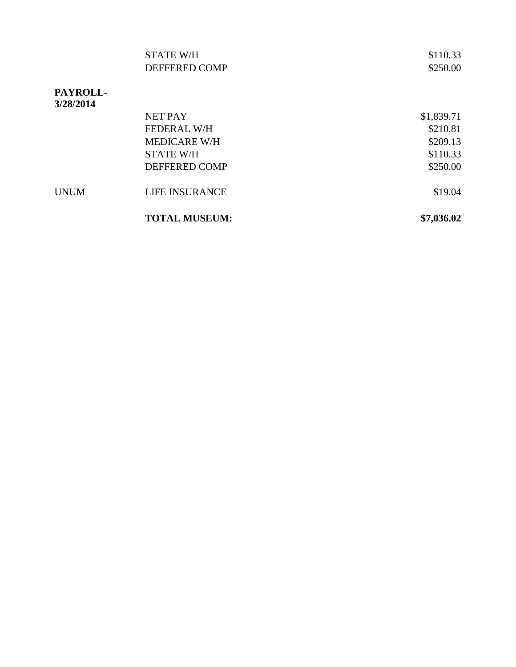|                       | <b>TOTAL MUSEUM:</b>  | \$7,036.02 |
|-----------------------|-----------------------|------------|
| <b>UNUM</b>           | <b>LIFE INSURANCE</b> | \$19.04    |
|                       | DEFFERED COMP         | \$250.00   |
|                       | <b>STATE W/H</b>      | \$110.33   |
|                       | <b>MEDICARE W/H</b>   | \$209.13   |
|                       | <b>FEDERAL W/H</b>    | \$210.81   |
|                       | <b>NET PAY</b>        | \$1,839.71 |
| PAYROLL-<br>3/28/2014 |                       |            |
|                       |                       |            |
|                       | DEFFERED COMP         | \$250.00   |
|                       | <b>STATE W/H</b>      | \$110.33   |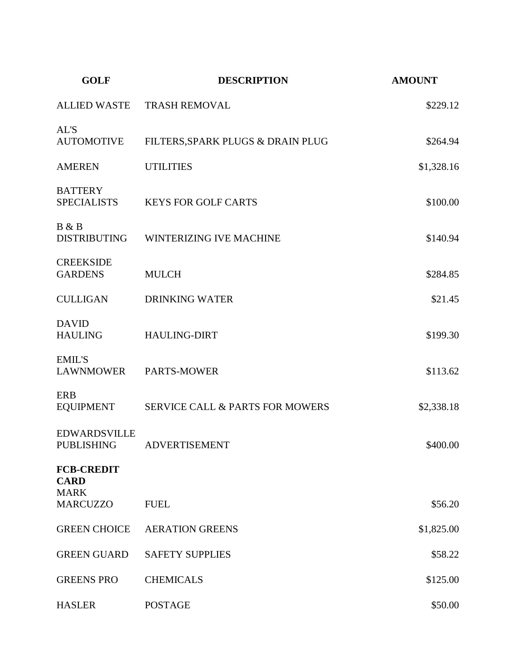| <b>GOLF</b>                              | <b>DESCRIPTION</b>                | <b>AMOUNT</b> |
|------------------------------------------|-----------------------------------|---------------|
| <b>ALLIED WASTE</b>                      | <b>TRASH REMOVAL</b>              | \$229.12      |
| AL'S<br><b>AUTOMOTIVE</b>                | FILTERS, SPARK PLUGS & DRAIN PLUG | \$264.94      |
| <b>AMEREN</b>                            | <b>UTILITIES</b>                  | \$1,328.16    |
| <b>BATTERY</b><br><b>SPECIALISTS</b>     | <b>KEYS FOR GOLF CARTS</b>        | \$100.00      |
| B & B<br><b>DISTRIBUTING</b>             | <b>WINTERIZING IVE MACHINE</b>    | \$140.94      |
| <b>CREEKSIDE</b><br><b>GARDENS</b>       | <b>MULCH</b>                      | \$284.85      |
| <b>CULLIGAN</b>                          | <b>DRINKING WATER</b>             | \$21.45       |
| <b>DAVID</b><br><b>HAULING</b>           | <b>HAULING-DIRT</b>               | \$199.30      |
| <b>EMIL'S</b><br><b>LAWNMOWER</b>        | <b>PARTS-MOWER</b>                | \$113.62      |
| <b>ERB</b><br><b>EQUIPMENT</b>           | SERVICE CALL & PARTS FOR MOWERS   | \$2,338.18    |
| <b>EDWARDSVILLE</b><br><b>PUBLISHING</b> | ADVERTISEMENT                     | \$400.00      |
| <b>FCB-CREDIT</b><br><b>CARD</b>         |                                   |               |
| <b>MARK</b><br><b>MARCUZZO</b>           | <b>FUEL</b>                       | \$56.20       |
| <b>GREEN CHOICE</b>                      | <b>AERATION GREENS</b>            | \$1,825.00    |
| <b>GREEN GUARD</b>                       | <b>SAFETY SUPPLIES</b>            | \$58.22       |
| <b>GREENS PRO</b>                        | <b>CHEMICALS</b>                  | \$125.00      |
| <b>HASLER</b>                            | <b>POSTAGE</b>                    | \$50.00       |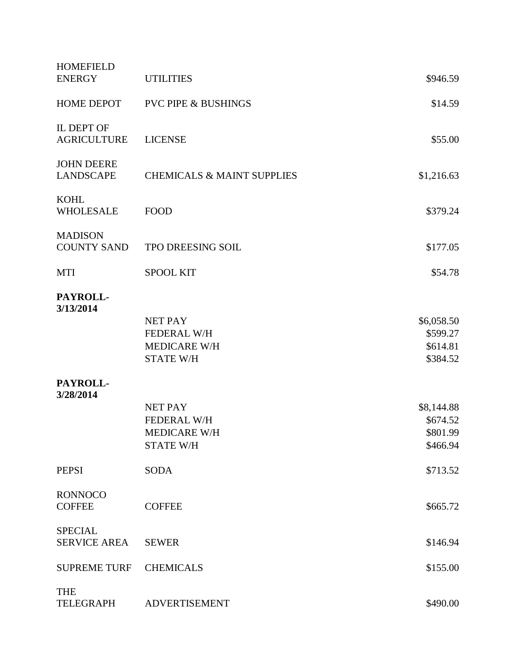| <b>HOMEFIELD</b><br><b>ENERGY</b>       | <b>UTILITIES</b>                      | \$946.59               |
|-----------------------------------------|---------------------------------------|------------------------|
| <b>HOME DEPOT</b>                       | <b>PVC PIPE &amp; BUSHINGS</b>        | \$14.59                |
| <b>IL DEPT OF</b><br><b>AGRICULTURE</b> | <b>LICENSE</b>                        | \$55.00                |
| <b>JOHN DEERE</b><br><b>LANDSCAPE</b>   | <b>CHEMICALS &amp; MAINT SUPPLIES</b> | \$1,216.63             |
| <b>KOHL</b><br><b>WHOLESALE</b>         | <b>FOOD</b>                           | \$379.24               |
| <b>MADISON</b><br><b>COUNTY SAND</b>    | TPO DREESING SOIL                     | \$177.05               |
| <b>MTI</b>                              | <b>SPOOL KIT</b>                      | \$54.78                |
| PAYROLL-                                |                                       |                        |
| 3/13/2014                               | <b>NET PAY</b>                        |                        |
|                                         | <b>FEDERAL W/H</b>                    | \$6,058.50<br>\$599.27 |
|                                         | <b>MEDICARE W/H</b>                   | \$614.81               |
|                                         | <b>STATE W/H</b>                      | \$384.52               |
| PAYROLL-<br>3/28/2014                   |                                       |                        |
|                                         | <b>NET PAY</b>                        | \$8,144.88             |
|                                         | <b>FEDERAL W/H</b>                    | \$674.52               |
|                                         | <b>MEDICARE W/H</b>                   | \$801.99               |
|                                         | <b>STATE W/H</b>                      | \$466.94               |
| <b>PEPSI</b>                            | <b>SODA</b>                           | \$713.52               |
| <b>RONNOCO</b>                          |                                       |                        |
| <b>COFFEE</b>                           | <b>COFFEE</b>                         | \$665.72               |
| <b>SPECIAL</b><br><b>SERVICE AREA</b>   | <b>SEWER</b>                          | \$146.94               |
|                                         |                                       |                        |
| <b>SUPREME TURF</b>                     | <b>CHEMICALS</b>                      | \$155.00               |
| <b>THE</b><br><b>TELEGRAPH</b>          | <b>ADVERTISEMENT</b>                  | \$490.00               |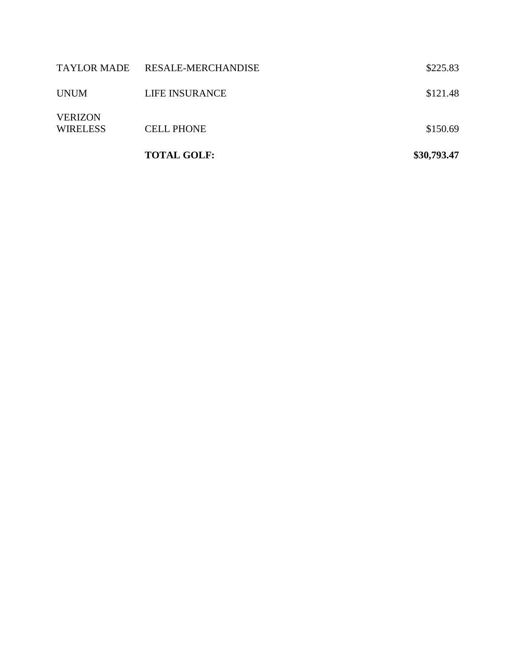|                                   | <b>TOTAL GOLF:</b> | \$30,793.47 |
|-----------------------------------|--------------------|-------------|
| <b>VERIZON</b><br><b>WIRELESS</b> | <b>CELL PHONE</b>  | \$150.69    |
| <b>UNUM</b>                       | LIFE INSURANCE     | \$121.48    |
| TAYLOR MADE                       | RESALE-MERCHANDISE | \$225.83    |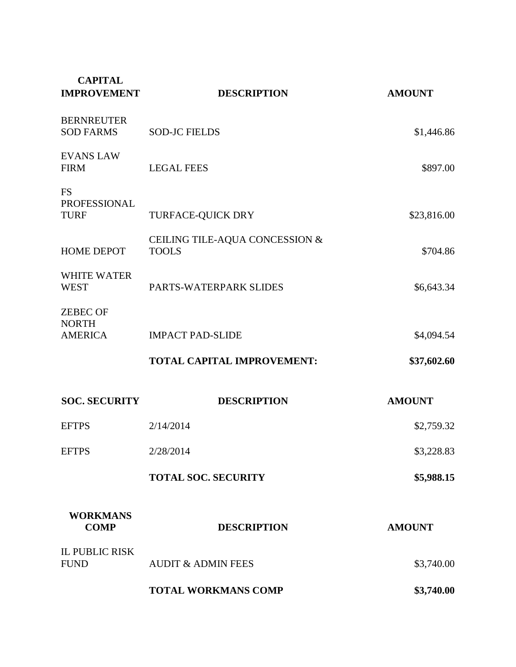| <b>CAPITAL</b><br><b>IMPROVEMENT</b>              | <b>DESCRIPTION</b>                             | <b>AMOUNT</b> |
|---------------------------------------------------|------------------------------------------------|---------------|
| <b>BERNREUTER</b><br><b>SOD FARMS</b>             | <b>SOD-JC FIELDS</b>                           | \$1,446.86    |
| <b>EVANS LAW</b><br><b>FIRM</b>                   | <b>LEGAL FEES</b>                              | \$897.00      |
| <b>FS</b><br>PROFESSIONAL<br><b>TURF</b>          | <b>TURFACE-QUICK DRY</b>                       | \$23,816.00   |
| <b>HOME DEPOT</b>                                 | CEILING TILE-AQUA CONCESSION &<br><b>TOOLS</b> | \$704.86      |
| <b>WHITE WATER</b><br><b>WEST</b>                 | PARTS-WATERPARK SLIDES                         | \$6,643.34    |
| <b>ZEBEC OF</b><br><b>NORTH</b><br><b>AMERICA</b> | <b>IMPACT PAD-SLIDE</b>                        | \$4,094.54    |
|                                                   | <b>TOTAL CAPITAL IMPROVEMENT:</b>              | \$37,602.60   |
| <b>SOC. SECURITY</b>                              | <b>DESCRIPTION</b>                             | <b>AMOUNT</b> |
| <b>EFTPS</b>                                      | 2/14/2014                                      | \$2,759.32    |
| <b>EFTPS</b>                                      | 2/28/2014                                      | \$3,228.83    |
|                                                   | <b>TOTAL SOC. SECURITY</b>                     | \$5,988.15    |
| <b>WORKMANS</b><br><b>COMP</b>                    | <b>DESCRIPTION</b>                             | <b>AMOUNT</b> |
| <b>IL PUBLIC RISK</b><br><b>FUND</b>              | <b>AUDIT &amp; ADMIN FEES</b>                  | \$3,740.00    |
|                                                   | <b>TOTAL WORKMANS COMP</b>                     | \$3,740.00    |